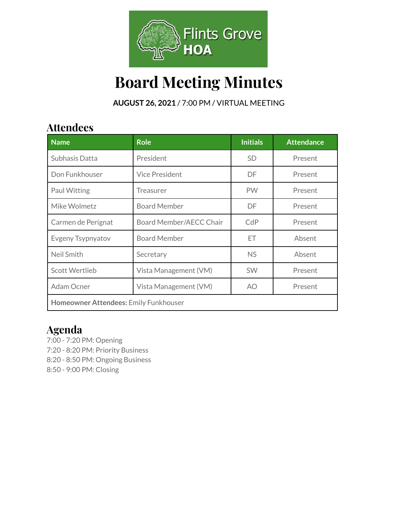

# **Board Meeting Minutes**

**AUGUST 26, 2021** / 7:00 PM / VIRTUAL MEETING

# **Attendees**

| <b>Name</b>                           | <b>Role</b>             | <b>Initials</b> | <b>Attendance</b> |  |
|---------------------------------------|-------------------------|-----------------|-------------------|--|
| Subhasis Datta                        | President               | <b>SD</b>       | Present           |  |
| Don Funkhouser                        | <b>Vice President</b>   | DF              | Present           |  |
| Paul Witting                          | Treasurer               | <b>PW</b>       | Present           |  |
| Mike Wolmetz                          | <b>Board Member</b>     | DF.             | Present           |  |
| Carmen de Perignat                    | Board Member/AECC Chair | CdP             | Present           |  |
| Evgeny Tsypnyatov                     | <b>Board Member</b>     | ET              | Absent            |  |
| Neil Smith                            | Secretary               | <b>NS</b>       | Absent            |  |
| <b>Scott Wertlieb</b>                 | Vista Management (VM)   | <b>SW</b>       | Present           |  |
| Adam Ocner                            | Vista Management (VM)   | AO.             | Present           |  |
| Homeowner Attendees: Emily Funkhouser |                         |                 |                   |  |

# **Agenda**

7:00 - 7:20 PM: Opening 7:20 - 8:20 PM: Priority Business 8:20 - 8:50 PM: Ongoing Business 8:50 - 9:00 PM: Closing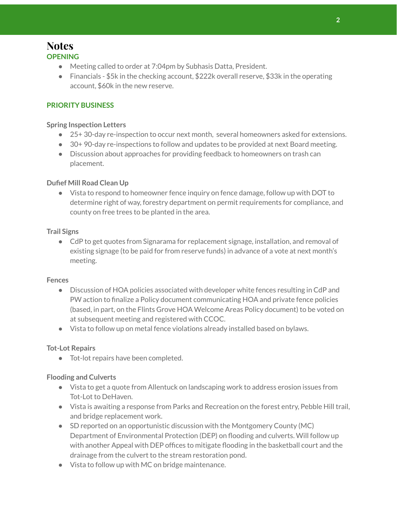# **Notes OPENING**

- Meeting called to order at 7:04pm by Subhasis Datta, President.
- Financials \$5k in the checking account, \$222k overall reserve, \$33k in the operating account, \$60k in the new reserve.

### **PRIORITY BUSINESS**

#### **Spring Inspection Letters**

- 25+30-day re-inspection to occur next month, several homeowners asked for extensions.
- 30+90-day re-inspections to follow and updates to be provided at next Board meeting.
- Discussion about approaches for providing feedback to homeowners on trash can placement.

#### **Dufief Mill Road Clean Up**

● Vista to respond to homeowner fence inquiry on fence damage, follow up with DOT to determine right of way, forestry department on permit requirements for compliance, and county on free trees to be planted in the area.

### **Trail Signs**

● CdP to get quotes from Signarama for replacement signage, installation, and removal of existing signage (to be paid for from reserve funds) in advance of a vote at next month's meeting.

#### **Fences**

- Discussion of HOA policies associated with developer white fences resulting in CdP and PW action to finalize a Policy document communicating HOA and private fence policies (based, in part, on the Flints Grove HOA Welcome Areas Policy document) to be voted on at subsequent meeting and registered with CCOC.
- Vista to follow up on metal fence violations already installed based on bylaws.

#### **Tot-Lot Repairs**

● Tot-lot repairs have been completed.

#### **Flooding and Culverts**

- Vista to get a quote from Allentuck on landscaping work to address erosion issues from Tot-Lot to DeHaven.
- Vista is awaiting a response from Parks and Recreation on the forest entry, Pebble Hill trail, and bridge replacement work.
- SD reported on an opportunistic discussion with the Montgomery County (MC) Department of Environmental Protection (DEP) on flooding and culverts. Will follow up with another Appeal with DEP offices to mitigate flooding in the basketball court and the drainage from the culvert to the stream restoration pond.
- Vista to follow up with MC on bridge maintenance.